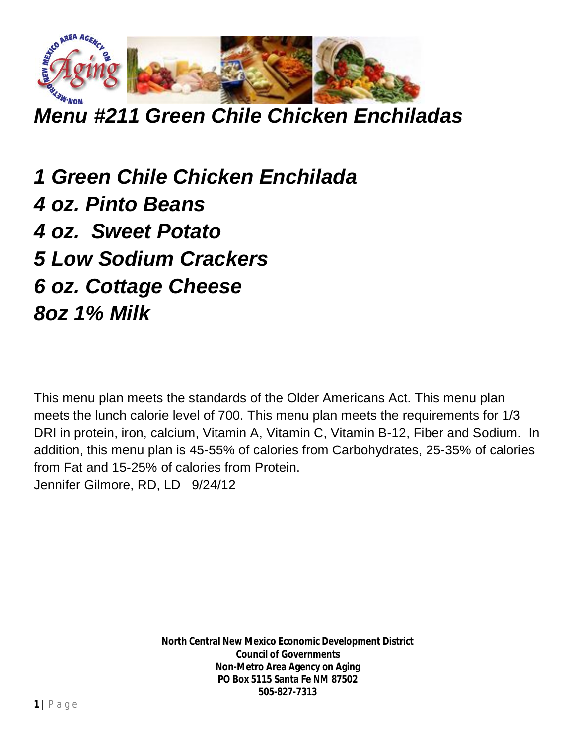

*Menu #211 Green Chile Chicken Enchiladas*

*1 Green Chile Chicken Enchilada 4 oz. Pinto Beans 4 oz. Sweet Potato 5 Low Sodium Crackers 6 oz. Cottage Cheese 8oz 1% Milk*

This menu plan meets the standards of the Older Americans Act. This menu plan meets the lunch calorie level of 700. This menu plan meets the requirements for 1/3 DRI in protein, iron, calcium, Vitamin A, Vitamin C, Vitamin B-12, Fiber and Sodium. In addition, this menu plan is 45-55% of calories from Carbohydrates, 25-35% of calories from Fat and 15-25% of calories from Protein. Jennifer Gilmore, RD, LD 9/24/12

> **North Central New Mexico Economic Development District Council of Governments Non-Metro Area Agency on Aging PO Box 5115 Santa Fe NM 87502 505-827-7313**